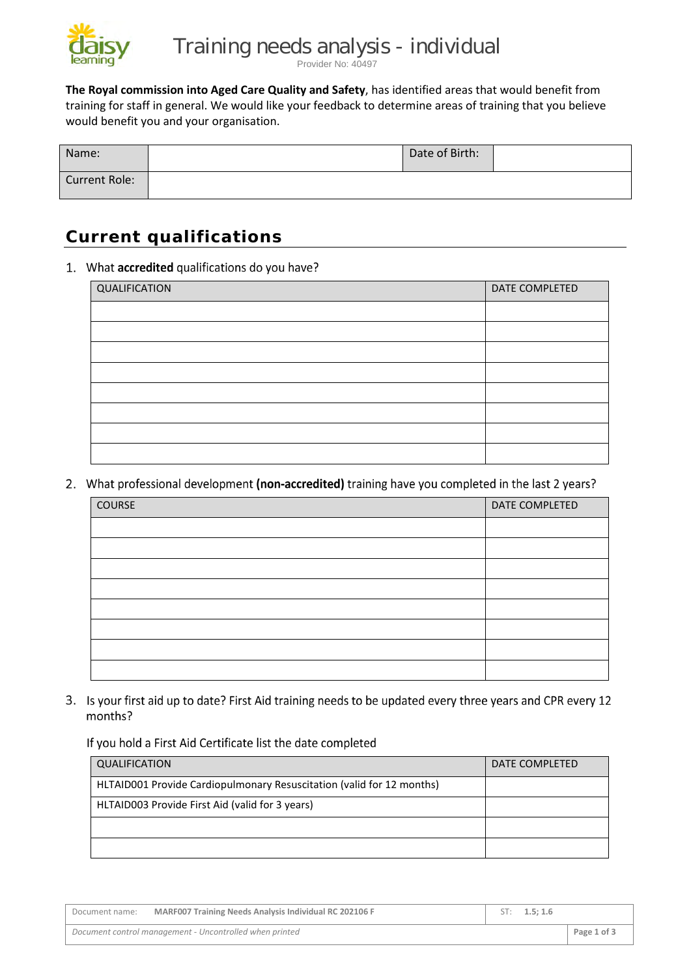

Provider No: 40497

**The Royal commission into Aged Care Quality and Safety**, has identified areas that would benefit from training for staff in general. We would like your feedback to determine areas of training that you believe would benefit you and your organisation.

| Name:                | Date of Birth: |  |
|----------------------|----------------|--|
| <b>Current Role:</b> |                |  |

# **Current qualifications**

### 1. What accredited qualifications do you have?

| QUALIFICATION | DATE COMPLETED |
|---------------|----------------|
|               |                |
|               |                |
|               |                |
|               |                |
|               |                |
|               |                |
|               |                |
|               |                |

2. What professional development (non-accredited) training have you completed in the last 2 years?

| COURSE | DATE COMPLETED |
|--------|----------------|
|        |                |
|        |                |
|        |                |
|        |                |
|        |                |
|        |                |
|        |                |
|        |                |

3. Is your first aid up to date? First Aid training needs to be updated every three years and CPR every 12 months?

### If you hold a First Aid Certificate list the date completed

| QUALIFICATION                                                         | DATE COMPLETED |
|-----------------------------------------------------------------------|----------------|
| HLTAID001 Provide Cardiopulmonary Resuscitation (valid for 12 months) |                |
| HLTAID003 Provide First Aid (valid for 3 years)                       |                |
|                                                                       |                |
|                                                                       |                |

| Document name: | MARF007 Training Needs Analysis Individual RC 202106 F  | ST: $1.5:1.6$ |             |
|----------------|---------------------------------------------------------|---------------|-------------|
|                | Document control management - Uncontrolled when printed |               | Page 1 of 3 |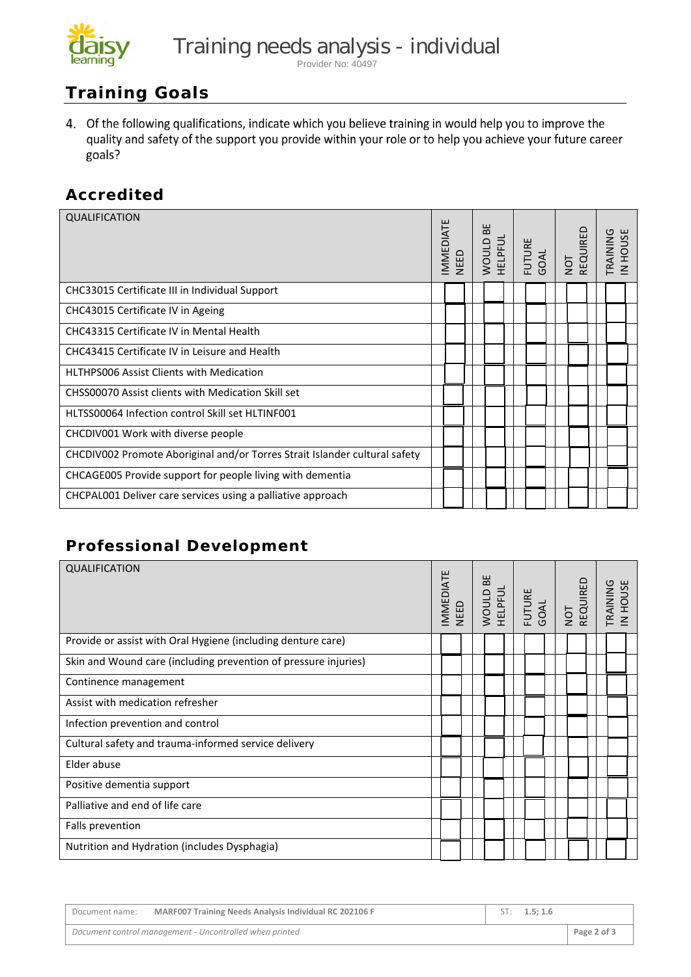

#### Provider No: 40497

# **Training Goals**

4. Of the following qualifications, indicate which you believe training in would help you to improve the quality and safety of the support you provide within your role or to help you achieve your future career goals?

## **Accredited**

| <b>QUALIFICATION</b>                                                       | <b>MMEDIATE</b> | NEED |  | ΒE<br>WOULD E<br>HELPFUL<br>GOAL<br>GOAL |  |  |  |  |  |  |  |  | NOT<br>REQUIRED | TRAINING<br>IN HOUS |
|----------------------------------------------------------------------------|-----------------|------|--|------------------------------------------|--|--|--|--|--|--|--|--|-----------------|---------------------|
| CHC33015 Certificate III in Individual Support                             |                 |      |  |                                          |  |  |  |  |  |  |  |  |                 |                     |
| CHC43015 Certificate IV in Ageing                                          |                 |      |  |                                          |  |  |  |  |  |  |  |  |                 |                     |
| CHC43315 Certificate IV in Mental Health                                   |                 |      |  |                                          |  |  |  |  |  |  |  |  |                 |                     |
| CHC43415 Certificate IV in Leisure and Health                              |                 |      |  |                                          |  |  |  |  |  |  |  |  |                 |                     |
| <b>HLTHPS006 Assist Clients with Medication</b>                            |                 |      |  |                                          |  |  |  |  |  |  |  |  |                 |                     |
| CHSS00070 Assist clients with Medication Skill set                         |                 |      |  |                                          |  |  |  |  |  |  |  |  |                 |                     |
| HLTSS00064 Infection control Skill set HLTINF001                           |                 |      |  |                                          |  |  |  |  |  |  |  |  |                 |                     |
| CHCDIV001 Work with diverse people                                         |                 |      |  |                                          |  |  |  |  |  |  |  |  |                 |                     |
| CHCDIV002 Promote Aboriginal and/or Torres Strait Islander cultural safety |                 |      |  |                                          |  |  |  |  |  |  |  |  |                 |                     |
| CHCAGE005 Provide support for people living with dementia                  |                 |      |  |                                          |  |  |  |  |  |  |  |  |                 |                     |
| CHCPAL001 Deliver care services using a palliative approach                |                 |      |  |                                          |  |  |  |  |  |  |  |  |                 |                     |

# **Professional Development**

| QUALIFICATION                                                   |  | MMEDIATE<br>NEED |  |  |  |  |  |  |  |  |  |  |  | ΒE<br><b>ADULD</b> |  | HELPFUL |  | FUTURE<br>GOAL<br>NOT<br>REQUIRED |  | TRAINING<br>IN HOUSE |  |
|-----------------------------------------------------------------|--|------------------|--|--|--|--|--|--|--|--|--|--|--|--------------------|--|---------|--|-----------------------------------|--|----------------------|--|
| Provide or assist with Oral Hygiene (including denture care)    |  |                  |  |  |  |  |  |  |  |  |  |  |  |                    |  |         |  |                                   |  |                      |  |
| Skin and Wound care (including prevention of pressure injuries) |  |                  |  |  |  |  |  |  |  |  |  |  |  |                    |  |         |  |                                   |  |                      |  |
| Continence management                                           |  |                  |  |  |  |  |  |  |  |  |  |  |  |                    |  |         |  |                                   |  |                      |  |
| Assist with medication refresher                                |  |                  |  |  |  |  |  |  |  |  |  |  |  |                    |  |         |  |                                   |  |                      |  |
| Infection prevention and control                                |  |                  |  |  |  |  |  |  |  |  |  |  |  |                    |  |         |  |                                   |  |                      |  |
| Cultural safety and trauma-informed service delivery            |  |                  |  |  |  |  |  |  |  |  |  |  |  |                    |  |         |  |                                   |  |                      |  |
| Elder abuse                                                     |  |                  |  |  |  |  |  |  |  |  |  |  |  |                    |  |         |  |                                   |  |                      |  |
| Positive dementia support                                       |  |                  |  |  |  |  |  |  |  |  |  |  |  |                    |  |         |  |                                   |  |                      |  |
| Palliative and end of life care                                 |  |                  |  |  |  |  |  |  |  |  |  |  |  |                    |  |         |  |                                   |  |                      |  |
| Falls prevention                                                |  |                  |  |  |  |  |  |  |  |  |  |  |  |                    |  |         |  |                                   |  |                      |  |
| Nutrition and Hydration (includes Dysphagia)                    |  |                  |  |  |  |  |  |  |  |  |  |  |  |                    |  |         |  |                                   |  |                      |  |

| Document name: | <b>MARF007 Training Needs Analysis Individual RC 202106 F</b> | ST: 1.5: 1.6 |             |
|----------------|---------------------------------------------------------------|--------------|-------------|
|                | Document control management - Uncontrolled when printed       |              | Page 2 of 3 |